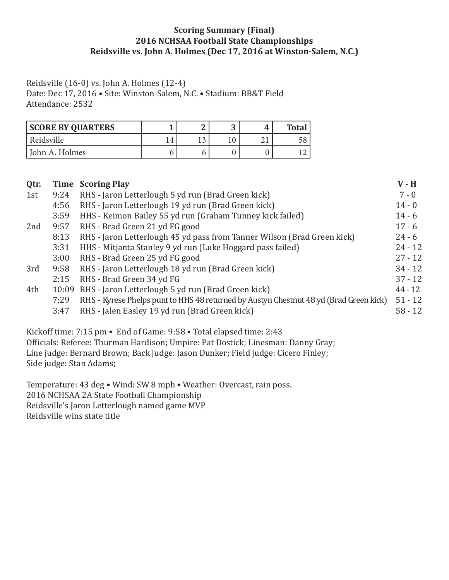### **Scoring Summary (Final) 2016 NCHSAA Football State Championships Reidsville vs. John A. Holmes (Dec 17, 2016 at Winston-Salem, N.C.)**

Reidsville (16-0) vs. John A. Holmes (12-4)

Date: Dec 17, 2016 • Site: Winston-Salem, N.C. • Stadium: BB&T Field Attendance: 2532

| <b>SCORE BY QUARTERS</b> |               | M | <b>Total</b> |
|--------------------------|---------------|---|--------------|
| Reidsville               | $^{\prime}$ 4 |   |              |
| John A. Holmes           |               |   |              |

|      |                                                                                        | $V - H$                           |
|------|----------------------------------------------------------------------------------------|-----------------------------------|
| 9:24 | RHS - Jaron Letterlough 5 yd run (Brad Green kick)                                     | $7 - 0$                           |
| 4:56 | RHS - Jaron Letterlough 19 yd run (Brad Green kick)                                    | $14 - 0$                          |
| 3:59 | HHS - Keimon Bailey 55 yd run (Graham Tunney kick failed)                              | $14 - 6$                          |
| 9:57 | RHS - Brad Green 21 yd FG good                                                         | $17 - 6$                          |
| 8:13 | RHS - Jaron Letterlough 45 yd pass from Tanner Wilson (Brad Green kick)                | $24 - 6$                          |
| 3:31 | HHS - Mitjanta Stanley 9 yd run (Luke Hoggard pass failed)                             | $24 - 12$                         |
| 3:00 | RHS - Brad Green 25 yd FG good                                                         | $27 - 12$                         |
| 9:58 | RHS - Jaron Letterlough 18 yd run (Brad Green kick)                                    | $34 - 12$                         |
| 2:15 | RHS - Brad Green 34 yd FG                                                              | $37 - 12$                         |
|      | RHS - Jaron Letterlough 5 yd run (Brad Green kick)                                     | $44 - 12$                         |
| 7:29 | RHS - Kyrese Phelps punt to HHS 48 returned by Austyn Chestnut 48 yd (Brad Green kick) | $51 - 12$                         |
| 3:47 | RHS - Jalen Easley 19 yd run (Brad Green kick)                                         | $58 - 12$                         |
|      |                                                                                        | <b>Time Scoring Play</b><br>10:09 |

Kickoff time: 7:15 pm • End of Game: 9:58 • Total elapsed time: 2:43 Officials: Referee: Thurman Hardison; Umpire: Pat Dostick; Linesman: Danny Gray; Line judge: Bernard Brown; Back judge: Jason Dunker; Field judge: Cicero Finley; Side judge: Stan Adams;

Temperature: 43 deg • Wind: SW 8 mph • Weather: Overcast, rain poss. 2016 NCHSAA 2A State Football Championship Reidsville's Jaron Letterlough named game MVP Reidsville wins state title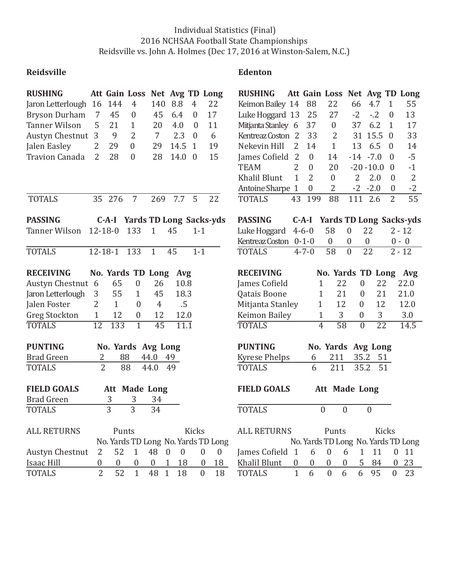## Individual Statistics (Final) 2016 NCHSAA Football State Championships Reidsville vs. John A. Holmes (Dec 17, 2016 at Winston-Salem, N.C.)

# **Reidsville** Edenton

| <b>RUSHING</b>                                                                           |                 |                  | Att Gain Loss Net Avg TD Long       |                      |                    |                  |                  |                  | <b>RUSHING</b>        |                |                  | Att Gain Loss Net Avg TD Long       |                       |                  |                  |                                |
|------------------------------------------------------------------------------------------|-----------------|------------------|-------------------------------------|----------------------|--------------------|------------------|------------------|------------------|-----------------------|----------------|------------------|-------------------------------------|-----------------------|------------------|------------------|--------------------------------|
| Jaron Letterlough                                                                        | 16              | 144              | $\overline{4}$                      | 140                  | 8.8                | $\overline{4}$   | 22               |                  | Keimon Bailey 14      |                | 88               | 22                                  | 66                    | 4.7              | $\mathbf{1}$     | 55                             |
| <b>Bryson Durham</b>                                                                     | 7               | 45               | $\boldsymbol{0}$                    | 45                   | 6.4                | $\boldsymbol{0}$ | 17               |                  | Luke Hoggard 13       |                | 25               | 27                                  | $-2$                  | $-.2$            | $\boldsymbol{0}$ | 13                             |
| <b>Tanner Wilson</b>                                                                     | 5               | 21               | $\mathbf{1}$                        | 20                   | 4.0                | $\boldsymbol{0}$ | 11               |                  | Mitjanta Stanley 6    |                | 37               | $\boldsymbol{0}$                    | 37                    | 6.2              | $\mathbf{1}$     | 17                             |
| Austyn Chestnut                                                                          | 3               | 9                | $\overline{2}$                      | $\overline{7}$       | 2.3                | $\overline{0}$   | 6                |                  | Kentreaz Coston 2     |                | 33               | 2                                   |                       | 31 15.5          | $\overline{0}$   | 33                             |
| Jalen Easley                                                                             | $\overline{2}$  | 29               | $\mathbf{0}$                        | 29                   | 14.5               | $\mathbf{1}$     | 19               |                  | Nekevin Hill          | 2              | 14               | $\mathbf{1}$                        | 13                    | 6.5              | $\overline{0}$   | 14                             |
| <b>Travion Canada</b>                                                                    | 2               | 28               | $\boldsymbol{0}$                    | 28                   | 14.0               | $\overline{0}$   | 15               |                  | James Cofield 2       |                | $\overline{0}$   | 14                                  | $-14$                 | $-7.0$           | $\theta$         | $-5$                           |
|                                                                                          |                 |                  |                                     |                      |                    |                  |                  |                  | <b>TEAM</b>           | 2              | $\theta$         | 20                                  |                       | $-20 - 10.0$     | $\theta$         | $-1$                           |
|                                                                                          |                 |                  |                                     |                      |                    |                  |                  |                  | <b>Khalil Blunt</b>   | $\mathbf{1}$   | $\overline{2}$   | $\boldsymbol{0}$                    | 2                     | 2.0              | $\boldsymbol{0}$ | $\overline{2}$                 |
|                                                                                          |                 |                  |                                     |                      |                    |                  |                  |                  | Antoine Sharpe 1      |                | $\boldsymbol{0}$ | $\overline{2}$                      | $-2$                  | $-2.0$           | $\mathbf{0}$     | $-2$                           |
| <b>TOTALS</b>                                                                            |                 | 35 276           | $\overline{7}$                      | 269                  | 7.7                | 5                | 22               |                  | <b>TOTALS</b>         | 43             | 199              | 88                                  | 111                   | 2.6              | $\overline{2}$   | 55                             |
| <b>PASSING</b>                                                                           |                 | $C-A-I$          | <b>Yards TD Long Sacks-yds</b>      |                      |                    |                  |                  |                  | <b>PASSING</b>        |                | $C-A-I$          |                                     |                       |                  |                  | <b>Yards TD Long Sacks-yds</b> |
| Tanner Wilson                                                                            |                 | $12 - 18 - 0$    | 133                                 | $\mathbf{1}$         | 45                 | $1 - 1$          |                  |                  | Luke Hoggard          |                | $4 - 6 - 0$      | 58                                  | $\boldsymbol{0}$      | 22               |                  | $2 - 12$                       |
|                                                                                          |                 |                  |                                     |                      |                    |                  |                  |                  | Kentreaz Coston 0-1-0 |                |                  | $\boldsymbol{0}$                    | 0                     | $\boldsymbol{0}$ |                  | $0 - 0$                        |
| <b>TOTALS</b>                                                                            |                 | $12 - 18 - 1$    | 133                                 | $\mathbf{1}$         | 45                 | $1 - 1$          |                  |                  | <b>TOTALS</b>         |                | $4 - 7 - 0$      | 58                                  | $\overline{0}$        | $\overline{22}$  |                  | $2 - 12$                       |
|                                                                                          |                 |                  |                                     |                      |                    |                  |                  |                  |                       |                |                  |                                     |                       |                  |                  |                                |
| <b>RECEIVING</b>                                                                         |                 |                  | No. Yards TD Long                   |                      | Avg                |                  |                  |                  | <b>RECEIVING</b>      |                |                  | No. Yards TD Long                   |                       |                  |                  | Avg                            |
| Austyn Chestnut                                                                          | 6               | 65               | $\boldsymbol{0}$                    | 26                   | 10.8               |                  |                  |                  | James Cofield         |                | $\mathbf{1}$     | 22                                  | $\boldsymbol{0}$      | 22               |                  | 22.0                           |
| Jaron Letterlough                                                                        | 3               | 55               | 1                                   | 45                   | 18.3               |                  |                  |                  | Qatais Boone          |                | $\mathbf{1}$     | 21                                  | 0                     | 21               |                  | 21.0                           |
| Jalen Foster                                                                             | $\overline{2}$  | $\mathbf{1}$     | $\overline{0}$                      | $\overline{4}$       | .5                 |                  |                  |                  | Mitjanta Stanley      |                | 1                | 12                                  | $\overline{0}$        | 12               |                  | 12.0                           |
| <b>Greg Stockton</b>                                                                     | $\mathbf{1}$    | 12               | $\overline{0}$                      | 12                   | 12.0               |                  |                  |                  | <b>Keimon Bailey</b>  |                | $\mathbf{1}$     | 3                                   | $\boldsymbol{0}$      | 3                |                  | 3.0                            |
| <b>TOTALS</b>                                                                            | $\overline{12}$ | 133              | $\overline{1}$                      | 45                   | $\overline{11.1}$  |                  |                  |                  | <b>TOTALS</b>         |                | $\overline{4}$   | $\overline{58}$                     | $\overline{0}$        | $\overline{22}$  |                  | 14.5                           |
| <b>PUNTING</b><br><b>PUNTING</b><br>No. Yards Avg Long<br>No. Yards Avg Long             |                 |                  |                                     |                      |                    |                  |                  |                  |                       |                |                  |                                     |                       |                  |                  |                                |
| <b>Brad Green</b>                                                                        | 2               |                  | 88                                  | 44.0                 | 49                 |                  |                  |                  | <b>Kyrese Phelps</b>  |                | 6                | 211                                 | 35.2                  | 51               |                  |                                |
| TOTALS                                                                                   | $\overline{2}$  |                  | 88                                  | 44.0                 | 49                 |                  |                  |                  | <b>TOTALS</b>         |                | 6                | 211                                 | 35.2                  | 51               |                  |                                |
| <b>FIELD GOALS</b><br><b>Att Made Long</b><br><b>FIELD GOALS</b><br><b>Att Made Long</b> |                 |                  |                                     |                      |                    |                  |                  |                  |                       |                |                  |                                     |                       |                  |                  |                                |
| <b>Brad Green</b>                                                                        |                 | 3                | 3                                   | 34                   |                    |                  |                  |                  |                       |                |                  |                                     |                       |                  |                  |                                |
| <b>TOTALS</b>                                                                            |                 | 3                | 3                                   | 34                   |                    |                  |                  |                  | <b>TOTALS</b>         |                |                  | $\boldsymbol{0}$                    | $\boldsymbol{0}$      | $\boldsymbol{0}$ |                  |                                |
|                                                                                          |                 |                  |                                     |                      |                    |                  |                  |                  |                       |                |                  |                                     |                       |                  |                  |                                |
| <b>ALL RETURNS</b>                                                                       |                 | Punts            |                                     |                      |                    | Kicks            |                  |                  | <b>ALL RETURNS</b>    |                |                  | Punts                               |                       |                  | <b>Kicks</b>     |                                |
|                                                                                          |                 |                  | No. Yards TD Long No. Yards TD Long |                      |                    |                  |                  |                  |                       |                |                  | No. Yards TD Long No. Yards TD Long |                       |                  |                  |                                |
| Austyn Chestnut                                                                          | 2               | 52               | $\mathbf{1}$                        | 48<br>$\overline{0}$ | $\boldsymbol{0}$   |                  | $\boldsymbol{0}$ | $\boldsymbol{0}$ | James Cofield 1       |                | 6                | $\boldsymbol{0}$                    | 6<br>$\mathbf{1}$     | 11               | $\boldsymbol{0}$ | 11                             |
| Isaac Hill                                                                               | $\pmb{0}$       | $\boldsymbol{0}$ | $\boldsymbol{0}$                    | $\boldsymbol{0}$     | 18<br>$\mathbf{1}$ |                  | $\boldsymbol{0}$ | 18               | Khalil Blunt          | $\overline{0}$ | $\boldsymbol{0}$ | $\boldsymbol{0}$                    | 5<br>$\boldsymbol{0}$ | 84               | $\boldsymbol{0}$ | 23                             |
| <b>TOTALS</b>                                                                            | $\overline{2}$  | 52               | $\mathbf{1}$                        | 48 1                 | 18                 |                  | $\mathbf{0}$     | 18               | <b>TOTALS</b>         | $\mathbf{1}$   | 6                | $\mathbf{0}$                        | 6<br>6                | 95               | $\boldsymbol{0}$ | 23                             |